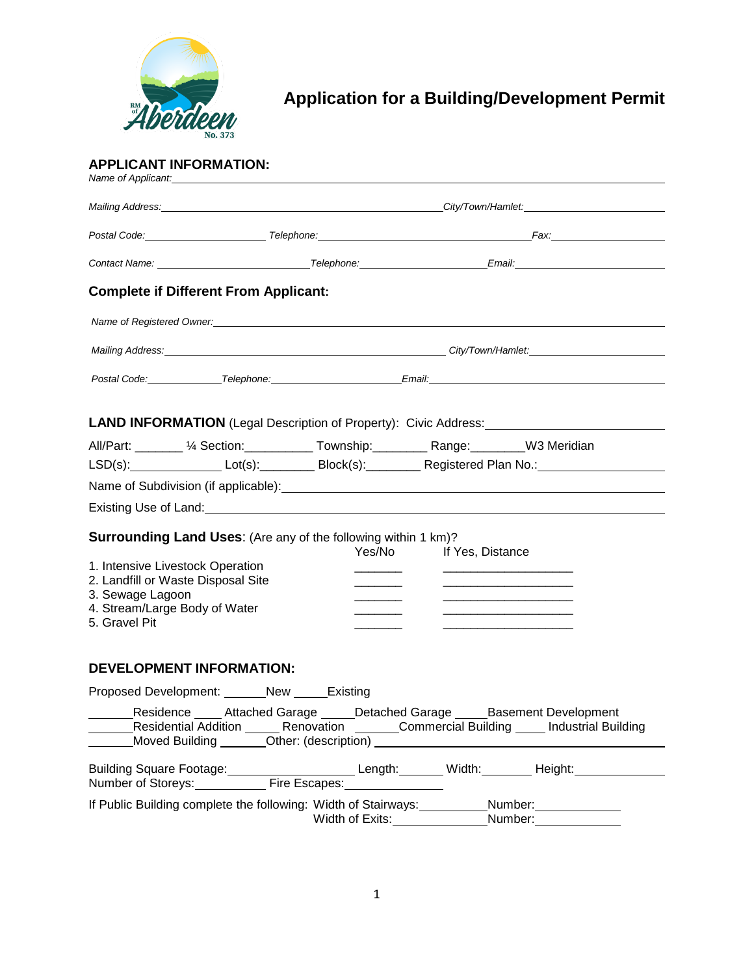

# **Application for a Building/Development Permit**

#### **APPLICANT INFORMATION:** *Name of Applicant:*

| <b>Complete if Different From Applicant:</b>                                                                                                                                                                                   |  |                               |                                                                                                                                                                                                                                                                           |                                                                                             |  |  |
|--------------------------------------------------------------------------------------------------------------------------------------------------------------------------------------------------------------------------------|--|-------------------------------|---------------------------------------------------------------------------------------------------------------------------------------------------------------------------------------------------------------------------------------------------------------------------|---------------------------------------------------------------------------------------------|--|--|
| Name of Registered Owner: Name of the Second Contract of the Second Contract of the Second Contract of the Second Contract of the Second Contract of the Second Contract of the Second Contract of the Second Contract of the  |  |                               |                                                                                                                                                                                                                                                                           |                                                                                             |  |  |
| Mailing Address: <u>Contract Communication of the City/Town/Hamlet:</u> City/Town/Hamlet:                                                                                                                                      |  |                               |                                                                                                                                                                                                                                                                           |                                                                                             |  |  |
| Postal Code: Telephone: Telephone: Email: Email: Email: Telephone: Email: Email: Telephone: Telephone: Telephone: Telephone: Telephone: Telephone: Telephone: Telephone: Telephone: Telephone: Telephone: Telephone: Telephone |  |                               |                                                                                                                                                                                                                                                                           |                                                                                             |  |  |
|                                                                                                                                                                                                                                |  |                               |                                                                                                                                                                                                                                                                           |                                                                                             |  |  |
| All/Part: _______ ½ Section: ___________ Township: _________ Range: _______W3 Meridian                                                                                                                                         |  |                               |                                                                                                                                                                                                                                                                           |                                                                                             |  |  |
| LSD(s): LOT(s): LOT(s): Block(s): Registered Plan No.: LOTEN LOTEN LOTEN BLOCK RISES                                                                                                                                           |  |                               |                                                                                                                                                                                                                                                                           |                                                                                             |  |  |
|                                                                                                                                                                                                                                |  |                               |                                                                                                                                                                                                                                                                           |                                                                                             |  |  |
|                                                                                                                                                                                                                                |  |                               |                                                                                                                                                                                                                                                                           |                                                                                             |  |  |
| <b>Surrounding Land Uses:</b> (Are any of the following within 1 km)?<br>1. Intensive Livestock Operation<br>2. Landfill or Waste Disposal Site<br>3. Sewage Lagoon<br>4. Stream/Large Body of Water<br>5. Gravel Pit          |  |                               | Yes/No If Yes, Distance<br><u> 1989 - Johann Harry Harry Harry Harry Harry Harry Harry Harry Harry Harry Harry Harry Harry Harry Harry Harry</u><br><u> 1989 - Johann Harry Harry Harry Harry Harry Harry Harry Harry Harry Harry Harry Harry Harry Harry Harry Harry</u> |                                                                                             |  |  |
| <b>DEVELOPMENT INFORMATION:</b>                                                                                                                                                                                                |  |                               |                                                                                                                                                                                                                                                                           |                                                                                             |  |  |
| Proposed Development: _______New ______Existing                                                                                                                                                                                |  |                               |                                                                                                                                                                                                                                                                           |                                                                                             |  |  |
| Residence _____ Attached Garage _____ Detached Garage _____ Basement Development                                                                                                                                               |  |                               |                                                                                                                                                                                                                                                                           | Residential Addition ______ Renovation _______Commercial Building _____ Industrial Building |  |  |
|                                                                                                                                                                                                                                |  |                               |                                                                                                                                                                                                                                                                           |                                                                                             |  |  |
| If Public Building complete the following: Width of Stairways: Number: Number: Number:                                                                                                                                         |  | Width of Exits:______________ |                                                                                                                                                                                                                                                                           | Number:                                                                                     |  |  |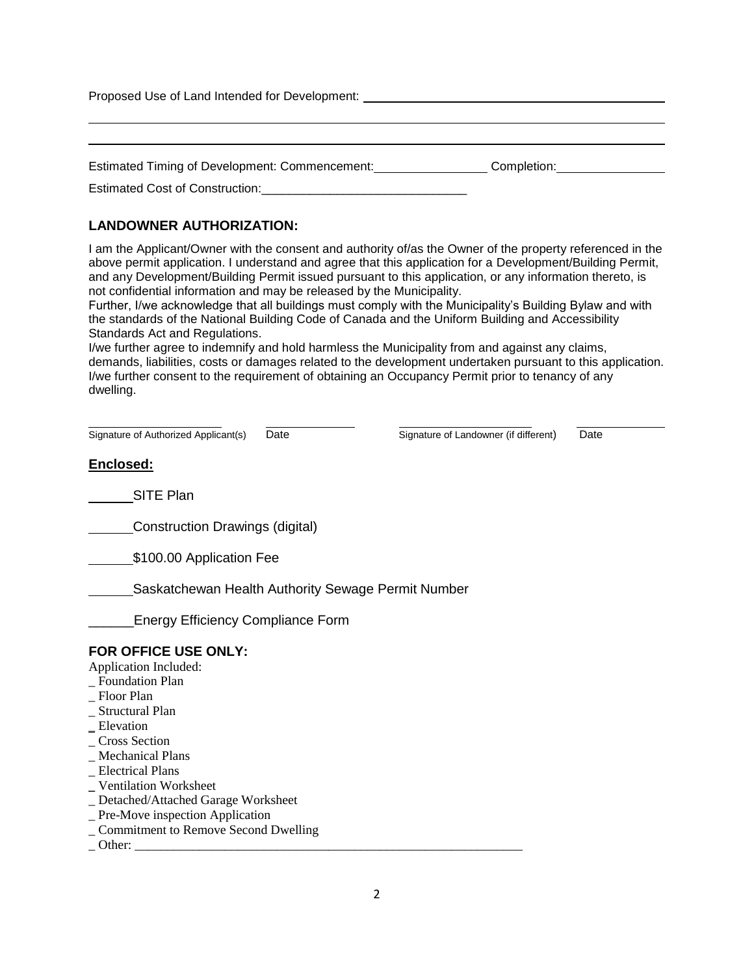Proposed Use of Land Intended for Development:

| Estimated Timing of Development: Commencement: | Completion: |
|------------------------------------------------|-------------|
|------------------------------------------------|-------------|

Estimated Cost of Construction:\_\_\_\_\_\_\_\_\_\_\_\_\_\_\_\_\_\_\_\_\_\_\_\_\_\_\_\_\_\_

# **LANDOWNER AUTHORIZATION:**

I am the Applicant/Owner with the consent and authority of/as the Owner of the property referenced in the above permit application. I understand and agree that this application for a Development/Building Permit, and any Development/Building Permit issued pursuant to this application, or any information thereto, is not confidential information and may be released by the Municipality.

Further, I/we acknowledge that all buildings must comply with the Municipality's Building Bylaw and with the standards of the National Building Code of Canada and the Uniform Building and Accessibility Standards Act and Regulations.

I/we further agree to indemnify and hold harmless the Municipality from and against any claims, demands, liabilities, costs or damages related to the development undertaken pursuant to this application. I/we further consent to the requirement of obtaining an Occupancy Permit prior to tenancy of any dwelling.

| Signature of Authorized Applicant(s)<br>Date       | Signature of Landowner (if different) | Date |
|----------------------------------------------------|---------------------------------------|------|
| Enclosed:                                          |                                       |      |
| SITE Plan                                          |                                       |      |
| Construction Drawings (digital)                    |                                       |      |
| \$100.00 Application Fee                           |                                       |      |
| Saskatchewan Health Authority Sewage Permit Number |                                       |      |
| <b>Energy Efficiency Compliance Form</b>           |                                       |      |
| FOR OFFICE USE ONLY:                               |                                       |      |
| Application Included:                              |                                       |      |
| _ Foundation Plan                                  |                                       |      |
| - Floor Plan                                       |                                       |      |
| _ Structural Plan                                  |                                       |      |
| $E$ levation                                       |                                       |      |
| <b>Cross Section</b>                               |                                       |      |
| _ Mechanical Plans                                 |                                       |      |
| _ Electrical Plans                                 |                                       |      |
| _ Ventilation Worksheet                            |                                       |      |
| _ Detached/Attached Garage Worksheet               |                                       |      |
| $\_$ Pre-Move inspection Application               |                                       |      |
| _ Commitment to Remove Second Dwelling             |                                       |      |
| Other:                                             |                                       |      |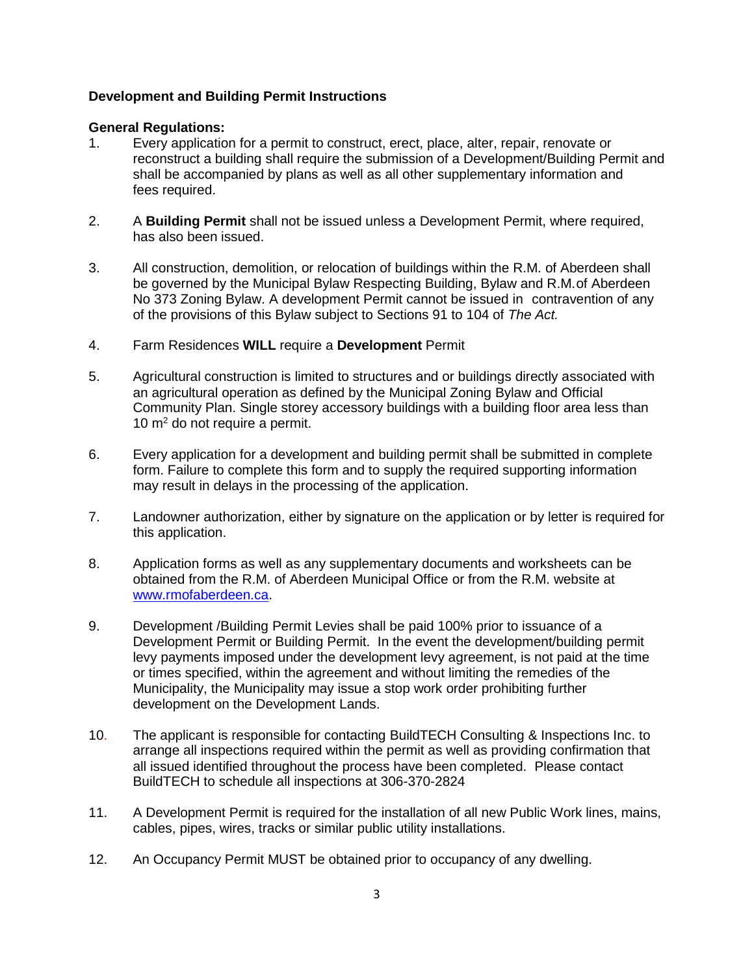## **Development and Building Permit Instructions**

#### **General Regulations:**

- 1. Every application for a permit to construct, erect, place, alter, repair, renovate or reconstruct a building shall require the submission of a Development/Building Permit and shall be accompanied by plans as well as all other supplementary information and fees required.
- 2. A **Building Permit** shall not be issued unless a Development Permit, where required, has also been issued.
- 3. All construction, demolition, or relocation of buildings within the R.M. of Aberdeen shall be governed by the Municipal Bylaw Respecting Building, Bylaw and R.M.of Aberdeen No 373 Zoning Bylaw. A development Permit cannot be issued in contravention of any of the provisions of this Bylaw subject to Sections 91 to 104 of *The Act.*
- 4. Farm Residences **WILL** require a **Development** Permit
- 5. Agricultural construction is limited to structures and or buildings directly associated with an agricultural operation as defined by the Municipal Zoning Bylaw and Official Community Plan. Single storey accessory buildings with a building floor area less than 10  $m<sup>2</sup>$  do not require a permit.
- 6. Every application for a development and building permit shall be submitted in complete form. Failure to complete this form and to supply the required supporting information may result in delays in the processing of the application.
- 7. Landowner authorization, either by signature on the application or by letter is required for this application.
- 8. Application forms as well as any supplementary documents and worksheets can be obtained from the R.M. of Aberdeen Municipal Office or from the R.M. website at [www.rmofaberdeen.ca.](http://www.rmofaberdeen.ca/)
- 9. Development /Building Permit Levies shall be paid 100% prior to issuance of a Development Permit or Building Permit. In the event the development/building permit levy payments imposed under the development levy agreement, is not paid at the time or times specified, within the agreement and without limiting the remedies of the Municipality, the Municipality may issue a stop work order prohibiting further development on the Development Lands.
- 10. The applicant is responsible for contacting BuildTECH Consulting & Inspections Inc. to arrange all inspections required within the permit as well as providing confirmation that all issued identified throughout the process have been completed. Please contact BuildTECH to schedule all inspections at 306-370-2824
- 11. A Development Permit is required for the installation of all new Public Work lines, mains, cables, pipes, wires, tracks or similar public utility installations.
- 12. An Occupancy Permit MUST be obtained prior to occupancy of any dwelling.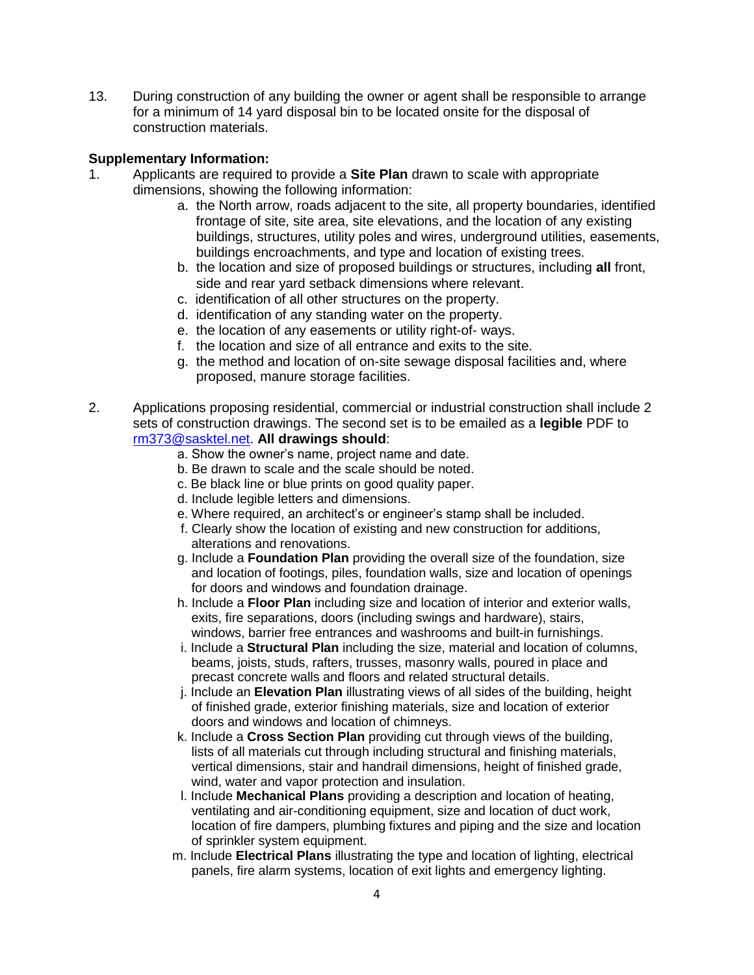13. During construction of any building the owner or agent shall be responsible to arrange for a minimum of 14 yard disposal bin to be located onsite for the disposal of construction materials.

#### **Supplementary Information:**

- 1. Applicants are required to provide a **Site Plan** drawn to scale with appropriate dimensions, showing the following information:
	- a. the North arrow, roads adjacent to the site, all property boundaries, identified frontage of site, site area, site elevations, and the location of any existing buildings, structures, utility poles and wires, underground utilities, easements, buildings encroachments, and type and location of existing trees.
	- b. the location and size of proposed buildings or structures, including **all** front, side and rear yard setback dimensions where relevant.
	- c. identification of all other structures on the property.
	- d. identification of any standing water on the property.
	- e. the location of any easements or utility right-of- ways.
	- f. the location and size of all entrance and exits to the site.
	- g. the method and location of on-site sewage disposal facilities and, where proposed, manure storage facilities.
- 2. Applications proposing residential, commercial or industrial construction shall include 2 sets of construction drawings. The second set is to be emailed as a **legible** PDF to [rm373@sasktel.net.](mailto:rm373@sasktel.net) **All drawings should**:
	- a. Show the owner's name, project name and date.
	- b. Be drawn to scale and the scale should be noted.
	- c. Be black line or blue prints on good quality paper.
	- d. Include legible letters and dimensions.
	- e. Where required, an architect's or engineer's stamp shall be included.
	- f. Clearly show the location of existing and new construction for additions, alterations and renovations.
	- g. Include a **Foundation Plan** providing the overall size of the foundation, size and location of footings, piles, foundation walls, size and location of openings for doors and windows and foundation drainage.
	- h. Include a **Floor Plan** including size and location of interior and exterior walls, exits, fire separations, doors (including swings and hardware), stairs, windows, barrier free entrances and washrooms and built-in furnishings.
	- i. Include a **Structural Plan** including the size, material and location of columns, beams, joists, studs, rafters, trusses, masonry walls, poured in place and precast concrete walls and floors and related structural details.
	- j. Include an **Elevation Plan** illustrating views of all sides of the building, height of finished grade, exterior finishing materials, size and location of exterior doors and windows and location of chimneys.
	- k. Include a **Cross Section Plan** providing cut through views of the building, lists of all materials cut through including structural and finishing materials, vertical dimensions, stair and handrail dimensions, height of finished grade, wind, water and vapor protection and insulation.
	- l. Include **Mechanical Plans** providing a description and location of heating, ventilating and air-conditioning equipment, size and location of duct work, location of fire dampers, plumbing fixtures and piping and the size and location of sprinkler system equipment.
	- m. Include **Electrical Plans** illustrating the type and location of lighting, electrical panels, fire alarm systems, location of exit lights and emergency lighting.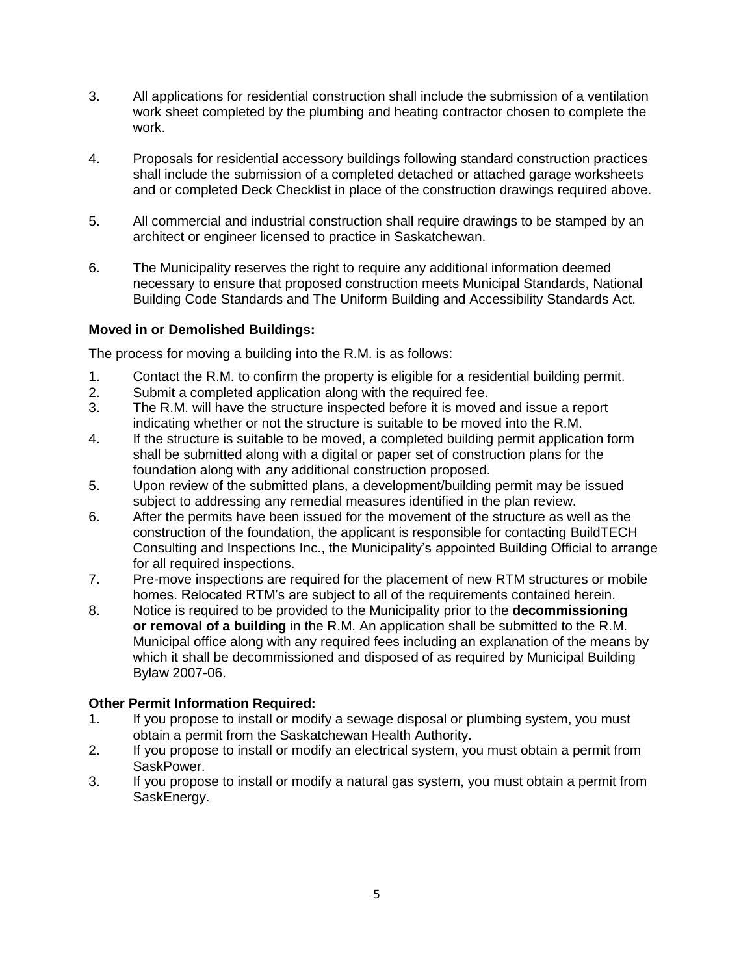- 3. All applications for residential construction shall include the submission of a ventilation work sheet completed by the plumbing and heating contractor chosen to complete the work.
- 4. Proposals for residential accessory buildings following standard construction practices shall include the submission of a completed detached or attached garage worksheets and or completed Deck Checklist in place of the construction drawings required above.
- 5. All commercial and industrial construction shall require drawings to be stamped by an architect or engineer licensed to practice in Saskatchewan.
- 6. The Municipality reserves the right to require any additional information deemed necessary to ensure that proposed construction meets Municipal Standards, National Building Code Standards and The Uniform Building and Accessibility Standards Act.

# **Moved in or Demolished Buildings:**

The process for moving a building into the R.M. is as follows:

- 1. Contact the R.M. to confirm the property is eligible for a residential building permit.
- 2. Submit a completed application along with the required fee.
- 3. The R.M. will have the structure inspected before it is moved and issue a report indicating whether or not the structure is suitable to be moved into the R.M.
- 4. If the structure is suitable to be moved, a completed building permit application form shall be submitted along with a digital or paper set of construction plans for the foundation along with any additional construction proposed.
- 5. Upon review of the submitted plans, a development/building permit may be issued subject to addressing any remedial measures identified in the plan review.
- 6. After the permits have been issued for the movement of the structure as well as the construction of the foundation, the applicant is responsible for contacting BuildTECH Consulting and Inspections Inc., the Municipality's appointed Building Official to arrange for all required inspections.
- 7. Pre-move inspections are required for the placement of new RTM structures or mobile homes. Relocated RTM's are subject to all of the requirements contained herein.
- 8. Notice is required to be provided to the Municipality prior to the **decommissioning or removal of a building** in the R.M. An application shall be submitted to the R.M. Municipal office along with any required fees including an explanation of the means by which it shall be decommissioned and disposed of as required by Municipal Building Bylaw 2007-06.

## **Other Permit Information Required:**

- 1. If you propose to install or modify a sewage disposal or plumbing system, you must obtain a permit from the Saskatchewan Health Authority.
- 2. If you propose to install or modify an electrical system, you must obtain a permit from SaskPower.
- 3. If you propose to install or modify a natural gas system, you must obtain a permit from SaskEnergy.